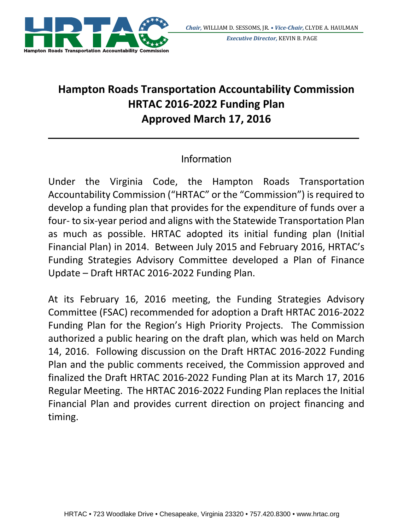

## **Hampton Roads Transportation Accountability Commission HRTAC 2016‐2022 Funding Plan Approved March 17, 2016**

## Information

Under the Virginia Code, the Hampton Roads Transportation Accountability Commission ("HRTAC" or the "Commission") isrequired to develop a funding plan that provides for the expenditure of funds over a four‐ to six‐year period and aligns with the Statewide Transportation Plan as much as possible. HRTAC adopted its initial funding plan (Initial Financial Plan) in 2014. Between July 2015 and February 2016, HRTAC's Funding Strategies Advisory Committee developed a Plan of Finance Update – Draft HRTAC 2016‐2022 Funding Plan.

At its February 16, 2016 meeting, the Funding Strategies Advisory Committee (FSAC) recommended for adoption a Draft HRTAC 2016‐2022 Funding Plan for the Region's High Priority Projects. The Commission authorized a public hearing on the draft plan, which was held on March 14, 2016. Following discussion on the Draft HRTAC 2016‐2022 Funding Plan and the public comments received, the Commission approved and finalized the Draft HRTAC 2016‐2022 Funding Plan at its March 17, 2016 Regular Meeting. The HRTAC 2016‐2022 Funding Plan replaces the Initial Financial Plan and provides current direction on project financing and timing.